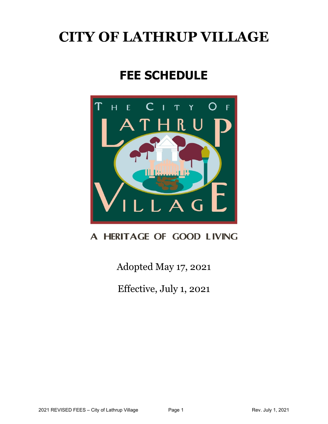# **CITY OF LATHRUP VILLAGE**

# **FEE SCHEDULE**



# A HERITAGE OF GOOD LIVING

Adopted May 17, 2021

Effective, July 1, 2021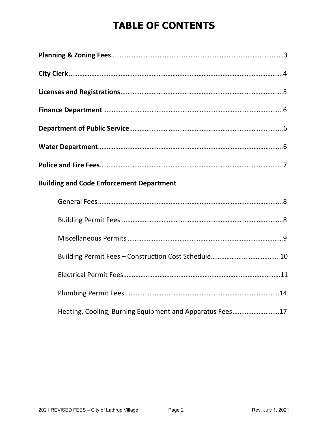# **TABLE OF CONTENTS**

| <b>Building and Code Enforcement Department</b>          |  |
|----------------------------------------------------------|--|
|                                                          |  |
|                                                          |  |
|                                                          |  |
|                                                          |  |
|                                                          |  |
|                                                          |  |
| Heating, Cooling, Burning Equipment and Apparatus Fees17 |  |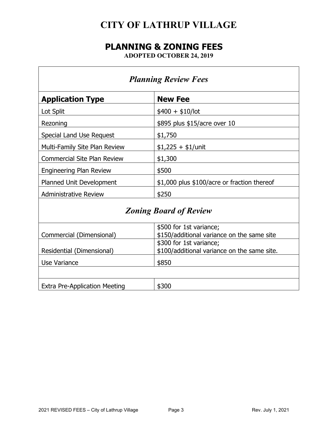# **CITY OF LATHRUP VILLAGE**

# **PLANNING & ZONING FEES**

**ADOPTED OCTOBER 24, 2019**

| <b>Planning Review Fees</b>        |                                                                        |  |
|------------------------------------|------------------------------------------------------------------------|--|
| <b>Application Type</b>            | <b>New Fee</b>                                                         |  |
| Lot Split                          | $$400 + $10/$ lot                                                      |  |
| Rezoning                           | \$895 plus \$15/acre over 10                                           |  |
| Special Land Use Request           | \$1,750                                                                |  |
| Multi-Family Site Plan Review      | $$1,225 + $1/$ unit                                                    |  |
| <b>Commercial Site Plan Review</b> | \$1,300                                                                |  |
| <b>Engineering Plan Review</b>     | \$500                                                                  |  |
| Planned Unit Development           | \$1,000 plus \$100/acre or fraction thereof                            |  |
| <b>Administrative Review</b>       | \$250                                                                  |  |
| <b>Zoning Board of Review</b>      |                                                                        |  |
| Commercial (Dimensional)           | \$500 for 1st variance;<br>\$150/additional variance on the same site  |  |
| Residential (Dimensional)          | \$300 for 1st variance;<br>\$100/additional variance on the same site. |  |
| Use Variance                       | \$850                                                                  |  |

| Evi<br>----<br>. Pre-<br><b>LAU U</b> |  |
|---------------------------------------|--|
|                                       |  |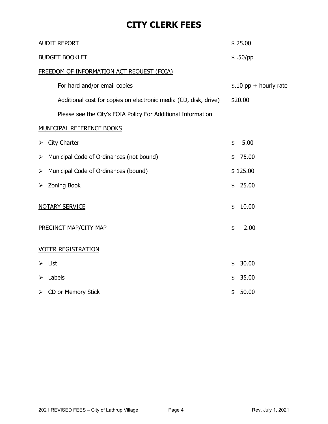# **CITY CLERK FEES**

| <b>AUDIT REPORT</b>                                              | \$25.00                 |
|------------------------------------------------------------------|-------------------------|
| <b>BUDGET BOOKLET</b>                                            | \$.50/pp                |
| FREEDOM OF INFORMATION ACT REQUEST (FOIA)                        |                         |
| For hard and/or email copies                                     | $$.10$ pp + hourly rate |
| Additional cost for copies on electronic media (CD, disk, drive) | \$20.00                 |
| Please see the City's FOIA Policy For Additional Information     |                         |
| <b>MUNICIPAL REFERENCE BOOKS</b>                                 |                         |
| City Charter<br>➤                                                | \$<br>5.00              |
| Municipal Code of Ordinances (not bound)<br>➤                    | \$<br>75.00             |
| Municipal Code of Ordinances (bound)<br>$\blacktriangleright$    | \$125.00                |
| <b>Zoning Book</b><br>➤                                          | \$<br>25.00             |
| <b>NOTARY SERVICE</b>                                            | \$<br>10.00             |
| PRECINCT MAP/CITY MAP                                            | \$<br>2.00              |
| <b>VOTER REGISTRATION</b>                                        |                         |
| List<br>⋗                                                        | 30.00<br>\$             |
| Labels<br>≻                                                      | 35.00<br>\$             |
| CD or Memory Stick<br>➤                                          | 50.00<br>\$             |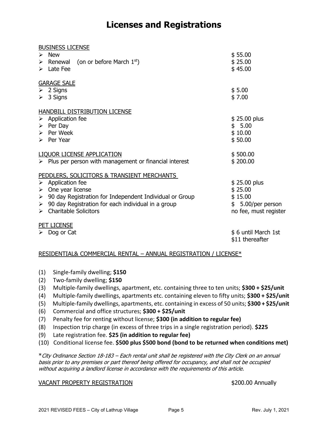## **Licenses and Registrations**

| <b>BUSINESS LICENSE</b>                                                                                                                                                                                                       |                       |
|-------------------------------------------------------------------------------------------------------------------------------------------------------------------------------------------------------------------------------|-----------------------|
| $\triangleright$ New                                                                                                                                                                                                          | \$55.00               |
| Example 2 Figure 2 Figure 2 Figure 2 Figure 2 Figure 2 Figure 2 Figure 2 Figure 2 Figure 2 Figure 2 Figure 2 Figure 2 Figure 2 Figure 2 Figure 2 Figure 2 Figure 2 Figure 2 Figure 2 Figure 2 Figure 2 Figure 2 Figure 2 Figu | \$25.00               |
| $\triangleright$ Late Fee                                                                                                                                                                                                     | \$45.00               |
| <b>GARAGE SALE</b>                                                                                                                                                                                                            |                       |
| $\triangleright$ 2 Signs                                                                                                                                                                                                      | \$5.00                |
| $\triangleright$ 3 Signs                                                                                                                                                                                                      | \$7.00                |
| HANDBILL DISTRIBUTION LICENSE                                                                                                                                                                                                 |                       |
| $\triangleright$ Application fee                                                                                                                                                                                              | $$25.00$ plus         |
| $\triangleright$ Per Day                                                                                                                                                                                                      | \$5.00                |
| $\triangleright$ Per Week                                                                                                                                                                                                     | \$10.00               |
| $\triangleright$ Per Year                                                                                                                                                                                                     | \$50.00               |
| LIQUOR LICENSE APPLICATION                                                                                                                                                                                                    | \$500.00              |
| $\triangleright$ Plus per person with management or financial interest                                                                                                                                                        | \$200.00              |
| PEDDLERS, SOLICITORS & TRANSIENT MERCHANTS                                                                                                                                                                                    |                       |
| $\triangleright$ Application fee                                                                                                                                                                                              | \$25.00 plus          |
| One year license<br>≻                                                                                                                                                                                                         | \$25.00               |
| $\triangleright$ 90 day Registration for Independent Individual or Group                                                                                                                                                      | \$15.00               |
| $\triangleright$ 90 day Registration for each individual in a group                                                                                                                                                           | $$5.00/per$ person    |
| $\triangleright$ Charitable Solicitors                                                                                                                                                                                        | no fee, must register |
| <b>PET LICENSE</b>                                                                                                                                                                                                            |                       |
| Dog or Cat<br>➤                                                                                                                                                                                                               | \$6 until March 1st   |
|                                                                                                                                                                                                                               | \$11 thereafter       |

#### RESIDENTIAL& COMMERCIAL RENTAL – ANNUAL REGISTRATION / LICENSE\*

- (1) Single-family dwelling; **\$150**
- (2) Two-family dwelling; **\$150**
- (3) Multiple-family dwellings, apartment, etc. containing three to ten units; **\$300 + \$25/unit**
- (4) Multiple-family dwellings, apartments etc. containing eleven to fifty units; **\$300 + \$25/unit**
- (5) Multiple-family dwellings, apartments, etc. containing in excess of 50 units; **\$300 + \$25/unit**
- (6) Commercial and office structures; **\$300 + \$25/unit**
- (7) Penalty fee for renting without license; **\$300 (in addition to regular fee)**
- (8) Inspection trip charge (in excess of three trips in a single registration period). **\$225**
- (9) Late registration fee. **\$25 (in addition to regular fee)**
- (10) Conditional license fee. **\$500 plus \$500 bond (bond to be returned when conditions met)**

\*City Ordinance Section 18-183 – Each rental unit shall be registered with the City Clerk on an annual basis prior to any premises or part thereof being offered for occupancy, and shall not be occupied without acquiring a landlord license in accordance with the requirements of this article.

#### VACANT PROPERTY REGISTRATION 6200.00 Annually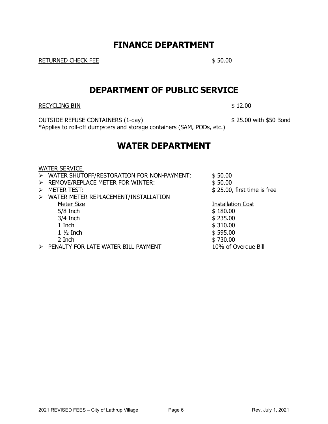### **FINANCE DEPARTMENT**

RETURNED CHECK FEE \$ 50.00

### **DEPARTMENT OF PUBLIC SERVICE**

RECYCLING BIN \$12.00

OUTSIDE REFUSE CONTAINERS (1-day) \$ 25.00 with \$50 Bond \*Applies to roll-off dumpsters and storage containers (SAM, PODs, etc.)

### **WATER DEPARTMENT**

#### WATER SERVICE

|   | > WATER SHUTOFF/RESTORATION FOR NON-PAYMENT: | \$50.00                     |
|---|----------------------------------------------|-----------------------------|
|   | > REMOVE/REPLACE METER FOR WINTER:           | \$50.00                     |
|   | <b>METER TEST:</b>                           | \$25.00, first time is free |
| ➤ | WATER METER REPLACEMENT/INSTALLATION         |                             |
|   | Meter Size                                   | <b>Installation Cost</b>    |
|   | $5/8$ Inch                                   | \$180.00                    |
|   | $3/4$ Inch                                   | \$235.00                    |
|   | 1 Inch                                       | \$310.00                    |
|   | $1\frac{1}{2}$ Inch                          | \$595.00                    |
|   | 2 Inch                                       | \$730.00                    |
|   | DENIALTY FOD LATE WATER BILL BAVAIENT        | 100/120                     |

- ➢ PENALTY FOR LATE WATER BILL PAYMENT 10% of Overdue Bill
-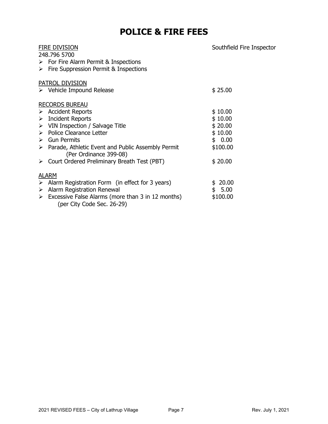# **POLICE & FIRE FEES**

| <u>fire division</u><br>248.796 5700<br>$\triangleright$ For Fire Alarm Permit & Inspections<br>$\triangleright$ Fire Suppression Permit & Inspections | Southfield Fire Inspector |
|--------------------------------------------------------------------------------------------------------------------------------------------------------|---------------------------|
| <u>PATROL DIVISION</u>                                                                                                                                 |                           |
| $\triangleright$ Vehicle Impound Release                                                                                                               | \$25.00                   |
| <u>RECORDS BUREAU</u>                                                                                                                                  |                           |
| $\triangleright$ Accident Reports                                                                                                                      | \$10.00                   |
| $\triangleright$ Incident Reports                                                                                                                      | \$10.00                   |
| $\triangleright$ VIN Inspection / Salvage Title                                                                                                        | \$20.00                   |
| > Police Clearance Letter                                                                                                                              | \$10.00                   |
| $\triangleright$ Gun Permits                                                                                                                           | \$0.00                    |
| $\triangleright$ Parade, Athletic Event and Public Assembly Permit<br>(Per Ordinance 399-08)                                                           | \$100.00                  |
| $\triangleright$ Court Ordered Preliminary Breath Test (PBT)                                                                                           | \$20.00                   |
| ALARM                                                                                                                                                  |                           |
| $\triangleright$ Alarm Registration Form (in effect for 3 years)                                                                                       | \$20.00                   |
| $\triangleright$ Alarm Registration Renewal                                                                                                            | \$5.00                    |
| $\triangleright$ Excessive False Alarms (more than 3 in 12 months)<br>(per City Code Sec. 26-29)                                                       | \$100.00                  |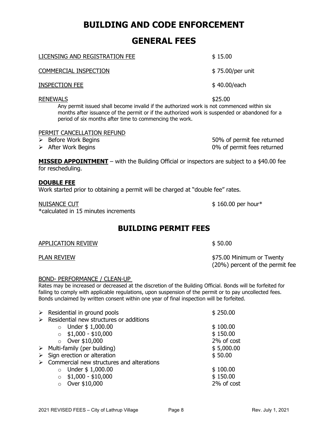### **BUILDING AND CODE ENFORCEMENT**

### **GENERAL FEES**

| <b>COMMERCIAL INSPECTION</b>                                                                                                                                                                                  | $$75.00/per$ unit |
|---------------------------------------------------------------------------------------------------------------------------------------------------------------------------------------------------------------|-------------------|
| <b>INSPECTION FEE</b>                                                                                                                                                                                         | \$40.00/each      |
| <b>RENEWALS</b><br>Any permit issued shall become invalid if the authorized work is not commenced within six<br>months after issuance of the permit or if the authorized work is suspended or abandoned for a | \$25.00           |

period of six months after time to commencing the work.

#### PERMIT CANCELLATION REFUND

- 
- 

➢ Before Work Begins 50% of permit fee returned ➢ After Work Begins 0% of permit fees returned

**MISSED APPOINTMENT** – with the Building Official or inspectors are subject to a \$40.00 fee for rescheduling.

#### **DOUBLE FEE**

Work started prior to obtaining a permit will be charged at "double fee" rates.

NUISANCE CUT **\$ 160.00 per hour\*** \*calculated in 15 minutes increments

### **BUILDING PERMIT FEES**

| <b>APPLICATION REVIEW</b> | \$50.00 |  |
|---------------------------|---------|--|
|                           |         |  |

#### BOND- PERFORMANCE / CLEAN-UP

Rates may be increased or decreased at the discretion of the Building Official. Bonds will be forfeited for failing to comply with applicable regulations, upon suspension of the permit or to pay uncollected fees. Bonds unclaimed by written consent within one year of final inspection will be forfeited.

|                       | $\triangleright$ Residential in ground pools | \$250.00   |
|-----------------------|----------------------------------------------|------------|
| $\blacktriangleright$ | Residential new structures or additions      |            |
|                       | Under \$1,000.00<br>$\circ$                  | \$100.00   |
|                       | $$1,000 - $10,000$<br>$\circ$                | \$150.00   |
|                       | $\circ$ Over \$10,000                        | 2% of cost |
| $\blacktriangleright$ | Multi-family (per building)                  | \$5,000.00 |
| $\blacktriangleright$ | Sign erection or alteration                  | \$50.00    |
|                       | Commercial new structures and alterations    |            |
|                       | Under \$1,000.00<br>$\circ$                  | \$100.00   |
|                       | $$1,000 - $10,000$<br>$\Omega$               | \$150.00   |
|                       | Over \$10,000<br>$\circ$                     | 2% of cost |

LICENSING AND REGISTRATION FEE \$15.00

\$75.00 Minimum or Twenty (20%) percent of the permit fee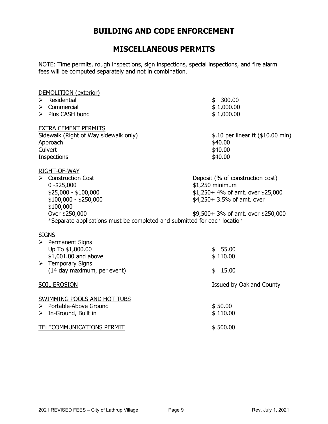### **BUILDING AND CODE ENFORCEMENT**

### **MISCELLANEOUS PERMITS**

NOTE: Time permits, rough inspections, sign inspections, special inspections, and fire alarm fees will be computed separately and not in combination.

| DEMOLITION (exterior)                                                    |                                    |
|--------------------------------------------------------------------------|------------------------------------|
| Residential<br>$\blacktriangleright$                                     | 300.00<br>\$                       |
| Commercial<br>➤                                                          | \$1,000.00                         |
| > Plus CASH bond                                                         | \$1,000.00                         |
| <b>EXTRA CEMENT PERMITS</b>                                              |                                    |
| Sidewalk (Right of Way sidewalk only)                                    | \$.10 per linear ft (\$10.00 min)  |
| Approach                                                                 | \$40.00                            |
| Culvert                                                                  | \$40.00                            |
| <b>Inspections</b>                                                       | \$40.00                            |
| RIGHT-OF-WAY                                                             |                                    |
| $\triangleright$ Construction Cost                                       | Deposit (% of construction cost)   |
| $0 - $25,000$                                                            | \$1,250 minimum                    |
| $$25,000 - $100,000$                                                     | \$1,250+ 4% of amt. over \$25,000  |
| $$100,000 - $250,000$                                                    | \$4,250+ 3.5% of amt. over         |
| \$100,000                                                                |                                    |
| Over \$250,000                                                           | \$9,500+ 3% of amt. over \$250,000 |
| *Separate applications must be completed and submitted for each location |                                    |
| <b>SIGNS</b>                                                             |                                    |
| $\triangleright$ Permanent Signs                                         |                                    |
| Up To \$1,000.00                                                         | \$55.00                            |
| \$1,001.00 and above                                                     | \$110.00                           |
| $\triangleright$ Temporary Signs                                         |                                    |
| (14 day maximum, per event)                                              | 15.00<br>\$                        |
| SOIL EROSION                                                             | Issued by Oakland County           |
| SWIMMING POOLS AND HOT TUBS                                              |                                    |
| > Portable-Above Ground                                                  | \$50.00                            |
| $\triangleright$ In-Ground, Built in                                     | \$110.00                           |
| TELECOMMUNICATIONS PERMIT                                                | \$500.00                           |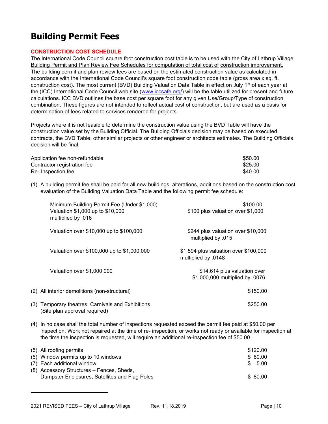# **Building Permit Fees**

#### **CONSTRUCTION COST SCHEDULE**

The International Code Council square foot construction cost table is to be used with the City of Lathrup Village Building Permit and Plan Review Fee Schedules for computation of total cost of construction improvement. The building permit and plan review fees are based on the estimated construction value as calculated in accordance with the International Code Council's square foot construction code table (gross area x sq. ft. construction cost). The most current (BVD) Building Valuation Data Table in effect on July 1<sup>st</sup> of each year at the (ICC) International Code Council web site [\(www.iccsafe.org/\)](http://www.iccsafe.org/) will be the table utilized for present and future calculations. ICC BVD outlines the base cost per square foot for any given Use/Group/Type of construction combination. These figures are not intended to reflect actual cost of construction, but are used as a basis for determination of fees related to services rendered for projects.

Projects where it is not feasible to determine the construction value using the BVD Table will have the construction value set by the Building Official. The Building Officials decision may be based on executed contracts, the BVD Table, other similar projects or other engineer or architects estimates. The Building Officials decision will be final.

| Application fee non-refundable | \$50.00 |
|--------------------------------|---------|
| Contractor registration fee    | \$25.00 |
| Re- Inspection fee             | \$40.00 |

(1) A building permit fee shall be paid for all new buildings, alterations, additions based on the construction cost evaluation of the Building Valuation Data Table and the following permit fee schedule:

| Minimum Building Permit Fee (Under \$1,000)<br>Valuation \$1,000 up to \$10,000<br>multiplied by .016 | \$100.00<br>\$100 plus valuation over \$1,000                   |
|-------------------------------------------------------------------------------------------------------|-----------------------------------------------------------------|
| Valuation over \$10,000 up to \$100,000                                                               | \$244 plus valuation over \$10,000<br>multiplied by .015        |
| Valuation over \$100,000 up to \$1,000,000                                                            | \$1,594 plus valuation over \$100,000<br>multiplied by .0148    |
| Valuation over \$1,000,000                                                                            | \$14,614 plus valuation over<br>\$1,000,000 multiplied by .0076 |
| (2) All interior demolitions (non-structural)                                                         | \$150.00                                                        |
| (3) Temporary theatres, Carnivals and Exhibitions<br>(Site plan approval required)                    | \$250.00                                                        |

(4) In no case shall the total number of inspections requested exceed the permit fee paid at \$50.00 per inspection. Work not repaired at the time of re- inspection, or works not ready or available for inspection at the time the inspection is requested, will require an additional re-inspection fee of \$50.00.

| (5) All roofing permits                        |     | \$120.00 |  |
|------------------------------------------------|-----|----------|--|
| (6) Window permits up to 10 windows            |     | \$ 80.00 |  |
| (7) Each additional window                     | -SS | 5.00     |  |
| (8) Accessory Structures – Fences, Sheds,      |     |          |  |
| Dumpster Enclosures, Satellites and Flag Poles |     | \$80.00  |  |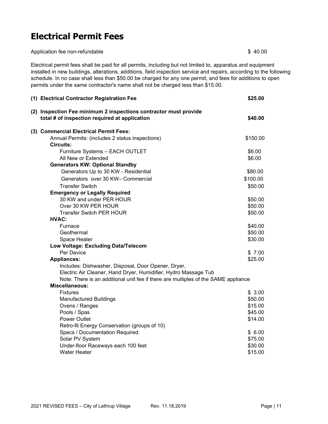# **Electrical Permit Fees**

Application fee non-refundable \$40.00

Electrical permit fees shall be paid for all permits, including but not limited to, apparatus and equipment installed in new buildings, alterations, additions, field inspection service and repairs, according to the following schedule. In no case shall less than \$50.00 be charged for any one permit, and fees for additions to open permits under the same contractor's name shall not be charged less than \$15.00.

|                                                                                    | (1) Electrical Contractor Registration Fee                                                                        | \$25.00            |
|------------------------------------------------------------------------------------|-------------------------------------------------------------------------------------------------------------------|--------------------|
|                                                                                    | (2) Inspection Fee minimum 2 inspections contractor must provide<br>total # of inspection required at application | \$40.00            |
|                                                                                    | (3) Commercial Electrical Permit Fees:                                                                            |                    |
|                                                                                    | Annual Permits: (includes 2 status inspections)                                                                   | \$150.00           |
|                                                                                    | <b>Circuits:</b>                                                                                                  |                    |
|                                                                                    | Furniture Systems - EACH OUTLET                                                                                   | \$6.00             |
|                                                                                    | All New or Extended                                                                                               | \$6.00             |
|                                                                                    | <b>Generators KW: Optional Standby</b><br>Generators Up to 30 KW - Residential                                    | \$80.00            |
|                                                                                    | Generators over 30 KW- Commercial                                                                                 | \$100.00           |
|                                                                                    |                                                                                                                   |                    |
|                                                                                    | <b>Transfer Switch</b>                                                                                            | \$50.00            |
|                                                                                    | <b>Emergency or Legally Required</b><br>30 KW and under PER HOUR                                                  | \$50.00            |
|                                                                                    | Over 30 KW PER HOUR                                                                                               | \$50.00            |
|                                                                                    | <b>Transfer Switch PER HOUR</b>                                                                                   | \$50.00            |
|                                                                                    | <b>HVAC:</b>                                                                                                      |                    |
|                                                                                    | Furnace                                                                                                           | \$40.00            |
|                                                                                    | Geothermal                                                                                                        | \$50.00            |
|                                                                                    | Space Heater                                                                                                      | \$30.00            |
|                                                                                    | Low Voltage: Excluding Data/Telecom                                                                               |                    |
|                                                                                    | Per Device                                                                                                        | \$7.00             |
|                                                                                    | <b>Appliances:</b>                                                                                                | \$25.00            |
|                                                                                    | Includes: Dishwasher, Disposal, Door Opener, Dryer,                                                               |                    |
|                                                                                    | Electric Air Cleaner, Hand Dryer, Humidifier, Hydro Massage Tub                                                   |                    |
| Note: There is an additional unit fee if there are multiples of the SAME appliance |                                                                                                                   |                    |
|                                                                                    | Miscellaneous:                                                                                                    |                    |
|                                                                                    | <b>Fixtures</b>                                                                                                   | \$3.00             |
|                                                                                    | <b>Manufactured Buildings</b><br>Ovens / Ranges                                                                   | \$50.00<br>\$15.00 |
|                                                                                    | Pools / Spas                                                                                                      | \$45.00            |
|                                                                                    | <b>Power Outlet</b>                                                                                               | \$14.00            |
|                                                                                    | Retro-fit Energy Conservation (groups of 10)                                                                      |                    |
|                                                                                    | Specs / Documentation Required.                                                                                   | \$6.00             |
|                                                                                    | Solar PV System                                                                                                   | \$75.00            |
|                                                                                    | Under-floor Raceways each 100 feet                                                                                | \$30.00            |
|                                                                                    | <b>Water Heater</b>                                                                                               | \$15.00            |
|                                                                                    |                                                                                                                   |                    |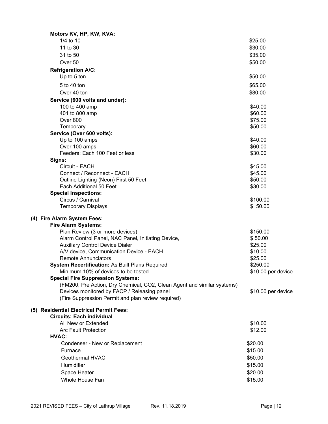| Motors KV, HP, KW, KVA:                                                                           |                    |
|---------------------------------------------------------------------------------------------------|--------------------|
| 1/4 to 10                                                                                         | \$25.00            |
| 11 to 30                                                                                          | \$30.00            |
| 31 to 50                                                                                          | \$35.00            |
| Over 50                                                                                           | \$50.00            |
| <b>Refrigeration A/C:</b>                                                                         |                    |
| Up to 5 ton                                                                                       | \$50.00            |
| 5 to 40 ton                                                                                       | \$65.00            |
| Over 40 ton                                                                                       | \$80.00            |
|                                                                                                   |                    |
| Service (600 volts and under):<br>100 to 400 amp                                                  | \$40.00            |
| 401 to 800 amp                                                                                    | \$60.00            |
| Over 800                                                                                          | \$75.00            |
| Temporary                                                                                         | \$50.00            |
| Service (Over 600 volts):                                                                         |                    |
| Up to 100 amps                                                                                    | \$40.00            |
| Over 100 amps                                                                                     | \$60.00            |
| Feeders: Each 100 Feet or less                                                                    | \$30.00            |
| Signs:                                                                                            |                    |
| Circuit - EACH                                                                                    | \$45.00            |
| Connect / Reconnect - EACH                                                                        | \$45.00            |
| Outline Lighting (Neon) First 50 Feet                                                             | \$50.00            |
| Each Additional 50 Feet                                                                           | \$30.00            |
| <b>Special Inspections:</b>                                                                       |                    |
| Circus / Carnival                                                                                 | \$100.00           |
| <b>Temporary Displays</b>                                                                         | \$50.00            |
| (4) Fire Alarm System Fees:                                                                       |                    |
| <b>Fire Alarm Systems:</b>                                                                        |                    |
| Plan Review (3 or more devices)                                                                   | \$150.00           |
| Alarm Control Panel, NAC Panel, Initiating Device,                                                | \$50.00            |
| <b>Auxiliary Control Device Dialer</b>                                                            | \$25.00            |
| A/V device, Communication Device - EACH                                                           | \$10.00            |
| <b>Remote Annunciators</b>                                                                        | \$25.00            |
| System Recertification: As Built Plans Required                                                   | \$250.00           |
| Minimum 10% of devices to be tested                                                               | \$10.00 per device |
| <b>Special Fire Suppression Systems:</b>                                                          |                    |
| (FM200, Pre Action, Dry Chemical, CO2, Clean Agent and similar systems)                           |                    |
| Devices monitored by FACP / Releasing panel<br>(Fire Suppression Permit and plan review required) | \$10.00 per device |
|                                                                                                   |                    |
| (5) Residential Electrical Permit Fees:<br><b>Circuits: Each individual</b>                       |                    |
| All New or Extended                                                                               | \$10.00            |
| <b>Arc Fault Protection</b>                                                                       | \$12.00            |
| HVAC:                                                                                             |                    |
| Condenser - New or Replacement                                                                    | \$20.00            |
| Furnace                                                                                           | \$15.00            |
| Geothermal HVAC                                                                                   | \$50.00            |
| Humidifier                                                                                        |                    |
|                                                                                                   | \$15.00            |
| Space Heater                                                                                      | \$20.00            |
| Whole House Fan                                                                                   | \$15.00            |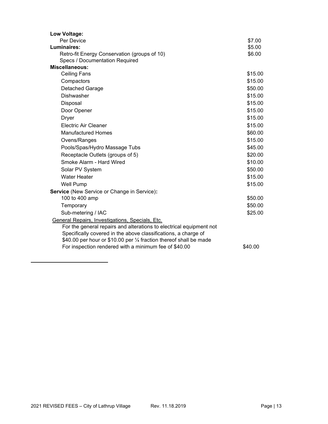| Low Voltage:                                                                                                                                                                                                                                                   |         |
|----------------------------------------------------------------------------------------------------------------------------------------------------------------------------------------------------------------------------------------------------------------|---------|
| Per Device                                                                                                                                                                                                                                                     | \$7.00  |
| Luminaires:                                                                                                                                                                                                                                                    | \$5.00  |
| Retro-fit Energy Conservation (groups of 10)                                                                                                                                                                                                                   | \$6.00  |
| Specs / Documentation Required                                                                                                                                                                                                                                 |         |
| Miscellaneous:                                                                                                                                                                                                                                                 |         |
| <b>Ceiling Fans</b>                                                                                                                                                                                                                                            | \$15.00 |
| Compactors                                                                                                                                                                                                                                                     | \$15.00 |
| Detached Garage                                                                                                                                                                                                                                                | \$50.00 |
| <b>Dishwasher</b>                                                                                                                                                                                                                                              | \$15.00 |
| Disposal                                                                                                                                                                                                                                                       | \$15.00 |
| Door Opener                                                                                                                                                                                                                                                    | \$15.00 |
| <b>Dryer</b>                                                                                                                                                                                                                                                   | \$15.00 |
| <b>Electric Air Cleaner</b>                                                                                                                                                                                                                                    | \$15.00 |
| <b>Manufactured Homes</b>                                                                                                                                                                                                                                      | \$60.00 |
| Ovens/Ranges                                                                                                                                                                                                                                                   | \$15.00 |
| Pools/Spas/Hydro Massage Tubs                                                                                                                                                                                                                                  | \$45.00 |
| Receptacle Outlets (groups of 5)                                                                                                                                                                                                                               | \$20.00 |
| Smoke Alarm - Hard Wired                                                                                                                                                                                                                                       | \$10.00 |
| Solar PV System                                                                                                                                                                                                                                                | \$50.00 |
| <b>Water Heater</b>                                                                                                                                                                                                                                            | \$15.00 |
| <b>Well Pump</b>                                                                                                                                                                                                                                               | \$15.00 |
| Service (New Service or Change in Service):                                                                                                                                                                                                                    |         |
| 100 to 400 amp                                                                                                                                                                                                                                                 | \$50.00 |
| Temporary                                                                                                                                                                                                                                                      | \$50.00 |
| Sub-metering / IAC                                                                                                                                                                                                                                             | \$25.00 |
| General Repairs, Investigations, Specials, Etc.<br>For the general repairs and alterations to electrical equipment not<br>Specifically covered in the above classifications, a charge of<br>\$40.00 per hour or \$10.00 per 1⁄4 fraction thereof shall be made |         |
| For inspection rendered with a minimum fee of \$40.00                                                                                                                                                                                                          | \$40.00 |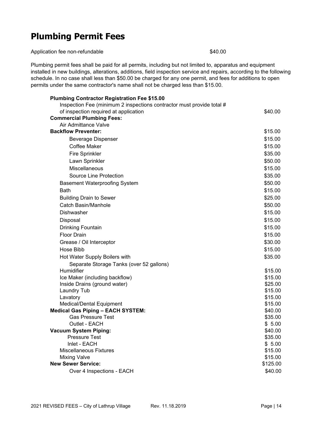# **Plumbing Permit Fees**

Application fee non-refundable \$40.00

Plumbing permit fees shall be paid for all permits, including but not limited to, apparatus and equipment installed in new buildings, alterations, additions, field inspection service and repairs, according to the following schedule. In no case shall less than \$50.00 be charged for any one permit, and fees for additions to open permits under the same contractor's name shall not be charged less than \$15.00.

| <b>Plumbing Contractor Registration Fee \$15.00</b>                   |          |
|-----------------------------------------------------------------------|----------|
| Inspection Fee (minimum 2 inspections contractor must provide total # |          |
| of inspection required at application                                 | \$40.00  |
| <b>Commercial Plumbing Fees:</b>                                      |          |
| Air Admittance Valve                                                  |          |
| <b>Backflow Preventer:</b>                                            | \$15.00  |
| <b>Beverage Dispenser</b>                                             | \$15.00  |
| Coffee Maker                                                          | \$15.00  |
| <b>Fire Sprinkler</b>                                                 | \$35.00  |
| Lawn Sprinkler                                                        | \$50.00  |
| Miscellaneous                                                         | \$15.00  |
| <b>Source Line Protection</b>                                         | \$35.00  |
| <b>Basement Waterproofing System</b>                                  | \$50.00  |
| Bath                                                                  | \$15.00  |
| <b>Building Drain to Sewer</b>                                        | \$25.00  |
| Catch Basin/Manhole                                                   | \$50.00  |
| <b>Dishwasher</b>                                                     | \$15.00  |
| Disposal                                                              | \$15.00  |
| <b>Drinking Fountain</b>                                              | \$15.00  |
| <b>Floor Drain</b>                                                    | \$15.00  |
| Grease / Oil Interceptor                                              | \$30.00  |
| Hose Bibb                                                             | \$15.00  |
|                                                                       | \$35.00  |
| Hot Water Supply Boilers with                                         |          |
| Separate Storage Tanks (over 52 gallons)<br>Humidifier                | \$15.00  |
| Ice Maker (including backflow)                                        | \$15.00  |
| Inside Drains (ground water)                                          | \$25.00  |
| <b>Laundry Tub</b>                                                    | \$15.00  |
| Lavatory                                                              | \$15.00  |
| Medical/Dental Equipment                                              | \$15.00  |
| <b>Medical Gas Piping - EACH SYSTEM:</b>                              | \$40.00  |
| <b>Gas Pressure Test</b>                                              | \$35.00  |
| Outlet - EACH                                                         | \$5.00   |
| <b>Vacuum System Piping:</b>                                          | \$40.00  |
| <b>Pressure Test</b>                                                  | \$35.00  |
| Inlet - EACH                                                          | \$5.00   |
| <b>Miscellaneous Fixtures</b>                                         | \$15.00  |
| <b>Mixing Valve</b>                                                   | \$15.00  |
| <b>New Sewer Service:</b>                                             | \$125.00 |
| Over 4 Inspections - EACH                                             | \$40.00  |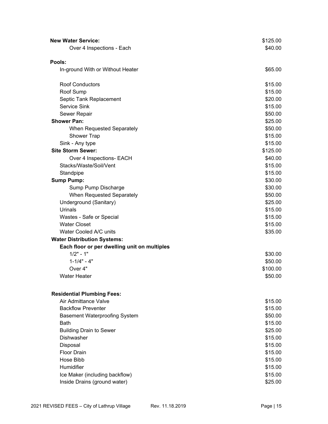| <b>New Water Service:</b>                    | \$125.00 |
|----------------------------------------------|----------|
| Over 4 Inspections - Each                    | \$40.00  |
|                                              |          |
| Pools:                                       |          |
| In-ground With or Without Heater             | \$65.00  |
| <b>Roof Conductors</b>                       | \$15.00  |
| Roof Sump                                    | \$15.00  |
| Septic Tank Replacement                      | \$20.00  |
| Service Sink                                 | \$15.00  |
| Sewer Repair                                 | \$50.00  |
| <b>Shower Pan:</b>                           | \$25.00  |
| When Requested Separately                    | \$50.00  |
| Shower Trap                                  | \$15.00  |
| Sink - Any type                              | \$15.00  |
| <b>Site Storm Sewer:</b>                     | \$125.00 |
| Over 4 Inspections- EACH                     | \$40.00  |
| Stacks/Waste/Soil/Vent                       | \$15.00  |
| Standpipe                                    | \$15.00  |
| <b>Sump Pump:</b>                            | \$30.00  |
| Sump Pump Discharge                          | \$30.00  |
| When Requested Separately                    | \$50.00  |
| Underground (Sanitary)                       | \$25.00  |
| Urinals                                      | \$15.00  |
| Wastes - Safe or Special                     | \$15.00  |
| <b>Water Closet</b>                          | \$15.00  |
| Water Cooled A/C units                       | \$35.00  |
| <b>Water Distribution Systems:</b>           |          |
| Each floor or per dwelling unit on multiples |          |
| $1/2" - 1"$                                  | \$30.00  |
| $1 - 1/4" - 4"$                              | \$50.00  |
| Over 4"                                      | \$100.00 |
| <b>Water Heater</b>                          | \$50.00  |
| <b>Residential Plumbing Fees:</b>            |          |
| Air Admittance Valve                         | \$15.00  |
| <b>Backflow Preventer</b>                    | \$15.00  |
| <b>Basement Waterproofing System</b>         | \$50.00  |
| Bath                                         | \$15.00  |
| <b>Building Drain to Sewer</b>               | \$25.00  |
| Dishwasher                                   | \$15.00  |
| Disposal                                     | \$15.00  |
| <b>Floor Drain</b>                           | \$15.00  |
| Hose Bibb                                    | \$15.00  |
| Humidifier                                   | \$15.00  |
| Ice Maker (including backflow)               | \$15.00  |
| Inside Drains (ground water)                 | \$25.00  |
|                                              |          |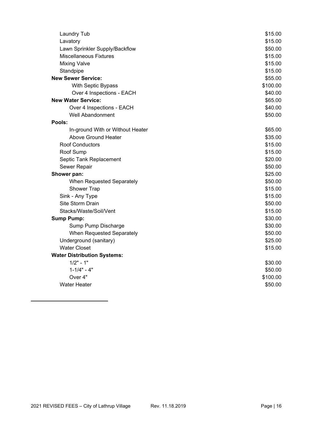| <b>Laundry Tub</b>                 | \$15.00  |
|------------------------------------|----------|
| Lavatory                           | \$15.00  |
| Lawn Sprinkler Supply/Backflow     | \$50.00  |
| <b>Miscellaneous Fixtures</b>      | \$15.00  |
| <b>Mixing Valve</b>                | \$15.00  |
| Standpipe                          | \$15.00  |
| <b>New Sewer Service:</b>          | \$55.00  |
| With Septic Bypass                 | \$100.00 |
| Over 4 Inspections - EACH          | \$40.00  |
| <b>New Water Service:</b>          | \$65.00  |
| Over 4 Inspections - EACH          | \$40.00  |
| <b>Well Abandonment</b>            | \$50.00  |
| Pools:                             |          |
| In-ground With or Without Heater   | \$65.00  |
| <b>Above Ground Heater</b>         | \$35.00  |
| <b>Roof Conductors</b>             | \$15.00  |
| Roof Sump                          | \$15.00  |
| Septic Tank Replacement            | \$20.00  |
| Sewer Repair                       | \$50.00  |
| Shower pan:                        | \$25.00  |
| When Requested Separately          | \$50.00  |
| <b>Shower Trap</b>                 | \$15.00  |
| Sink - Any Type                    | \$15.00  |
| Site Storm Drain                   | \$50.00  |
| Stacks/Waste/Soil/Vent             | \$15.00  |
| <b>Sump Pump:</b>                  | \$30.00  |
| Sump Pump Discharge                | \$30.00  |
| When Requested Separately          | \$50.00  |
| Underground (sanitary)             | \$25.00  |
| <b>Water Closet</b>                | \$15.00  |
| <b>Water Distribution Systems:</b> |          |
| $1/2" - 1"$                        | \$30.00  |
| $1 - 1/4" - 4"$                    | \$50.00  |
| Over 4"                            | \$100.00 |
| <b>Water Heater</b>                | \$50.00  |
|                                    |          |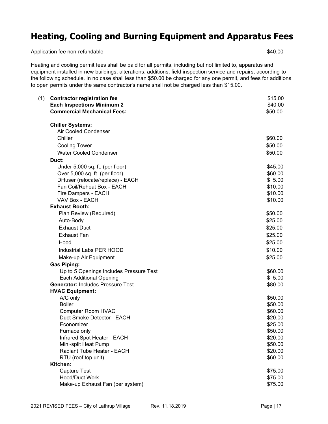## **Heating, Cooling and Burning Equipment and Apparatus Fees**

Application fee non-refundable  $$40.00$ 

Heating and cooling permit fees shall be paid for all permits, including but not limited to, apparatus and equipment installed in new buildings, alterations, additions, field inspection service and repairs, according to the following schedule. In no case shall less than \$50.00 be charged for any one permit, and fees for additions to open permits under the same contractor's name shall not be charged less than \$15.00.

| (1) | <b>Contractor registration fee</b><br><b>Each Inspections Minimum 2</b><br><b>Commercial Mechanical Fees:</b> | \$15.00<br>\$40.00<br>\$50.00 |
|-----|---------------------------------------------------------------------------------------------------------------|-------------------------------|
|     | <b>Chiller Systems:</b>                                                                                       |                               |
|     | <b>Air Cooled Condenser</b>                                                                                   |                               |
|     | Chiller                                                                                                       | \$60.00                       |
|     | <b>Cooling Tower</b>                                                                                          | \$50.00                       |
|     | <b>Water Cooled Condenser</b>                                                                                 | \$50.00                       |
|     | Duct:                                                                                                         |                               |
|     | Under 5,000 sq. ft. (per floor)                                                                               | \$45.00                       |
|     | Over 5,000 sq. ft. (per floor)                                                                                | \$60.00                       |
|     | Diffuser (relocate/replace) - EACH                                                                            | \$5.00                        |
|     | Fan Coil/Reheat Box - EACH                                                                                    | \$10.00                       |
|     | Fire Dampers - EACH                                                                                           | \$10.00                       |
|     | VAV Box - EACH                                                                                                | \$10.00                       |
|     | <b>Exhaust Booth:</b>                                                                                         |                               |
|     | Plan Review (Required)                                                                                        | \$50.00                       |
|     | Auto-Body                                                                                                     | \$25.00                       |
|     | <b>Exhaust Duct</b>                                                                                           | \$25.00                       |
|     | <b>Exhaust Fan</b>                                                                                            | \$25.00                       |
|     | Hood                                                                                                          | \$25.00                       |
|     | Industrial Labs PER HOOD                                                                                      | \$10.00                       |
|     | Make-up Air Equipment                                                                                         | \$25.00                       |
|     | <b>Gas Piping:</b>                                                                                            |                               |
|     | Up to 5 Openings Includes Pressure Test                                                                       | \$60.00                       |
|     | <b>Each Additional Opening</b>                                                                                | \$5.00                        |
|     | <b>Generator: Includes Pressure Test</b>                                                                      | \$80.00                       |
|     | <b>HVAC Equipment:</b>                                                                                        |                               |
|     | A/C only                                                                                                      | \$50.00                       |
|     | <b>Boiler</b>                                                                                                 | \$50.00                       |
|     | <b>Computer Room HVAC</b>                                                                                     | \$60.00                       |
|     | Duct Smoke Detector - EACH                                                                                    | \$20.00                       |
|     | Economizer                                                                                                    | \$25.00                       |
|     | Furnace only                                                                                                  | \$50.00                       |
|     | Infrared Spot Heater - EACH                                                                                   | \$20.00                       |
|     | Mini-split Heat Pump                                                                                          | \$50.00                       |
|     | Radiant Tube Heater - EACH                                                                                    | \$20.00                       |
|     | RTU (roof top unit)                                                                                           | \$60.00                       |
|     | Kitchen:                                                                                                      |                               |
|     | <b>Capture Test</b>                                                                                           | \$75.00                       |
|     | Hood/Duct Work                                                                                                | \$75.00                       |
|     | Make-up Exhaust Fan (per system)                                                                              | \$75.00                       |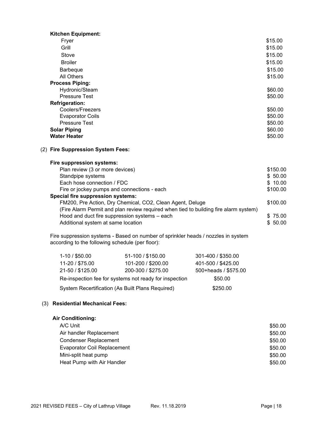| <b>Kitchen Equipment:</b> |         |
|---------------------------|---------|
| Fryer                     | \$15.00 |
| Grill                     | \$15.00 |
| Stove                     | \$15.00 |
| <b>Broiler</b>            | \$15.00 |
| <b>Barbeque</b>           | \$15.00 |
| All Others                | \$15.00 |
| <b>Process Piping:</b>    |         |
| Hydronic/Steam            | \$60.00 |
| <b>Pressure Test</b>      | \$50.00 |
| <b>Refrigeration:</b>     |         |
| Coolers/Freezers          | \$50.00 |
| <b>Evaporator Coils</b>   | \$50.00 |
| <b>Pressure Test</b>      | \$50.00 |
| <b>Solar Piping</b>       | \$60.00 |
| <b>Water Heater</b>       | \$50.00 |

#### (2) **Fire Suppression System Fees:**

#### **Fire suppression systems:**

| Plan review (3 or more devices)                                                      | \$150.00 |
|--------------------------------------------------------------------------------------|----------|
| Standpipe systems                                                                    | \$50.00  |
| Each hose connection / FDC                                                           | \$10.00  |
| Fire or jockey pumps and connections - each                                          | \$100.00 |
| <b>Special fire suppression systems:</b>                                             |          |
| FM200, Pre Action, Dry Chemical, CO2, Clean Agent, Deluge                            | \$100.00 |
| (Fire Alarm Permit and plan review required when tied to building fire alarm system) |          |
| Hood and duct fire suppression systems - each                                        | \$75.00  |
| Additional system at same location                                                   | \$50.00  |
|                                                                                      |          |

Fire suppression systems - Based on number of sprinkler heads / nozzles in system according to the following schedule (per floor):

| $1-10/$ \$50.00                                        | 51-100 / \$150.00  | 301-400 / \$350.00   |
|--------------------------------------------------------|--------------------|----------------------|
| 11-20 / \$75.00                                        | 101-200 / \$200.00 | 401-500 / \$425.00   |
| 21-50 / \$125.00                                       | 200-300 / \$275.00 | 500+heads / \$575.00 |
| Re-inspection fee for systems not ready for inspection |                    | \$50.00              |
| System Recertification (As Built Plans Required)       |                    | \$250.00             |

#### (3) **Residential Mechanical Fees:**

#### **Air Conditioning:**

| A/C Unit                           | \$50.00 |
|------------------------------------|---------|
| Air handler Replacement            | \$50.00 |
| <b>Condenser Replacement</b>       | \$50.00 |
| <b>Evaporator Coil Replacement</b> | \$50.00 |
| Mini-split heat pump               | \$50.00 |
| Heat Pump with Air Handler         | \$50.00 |